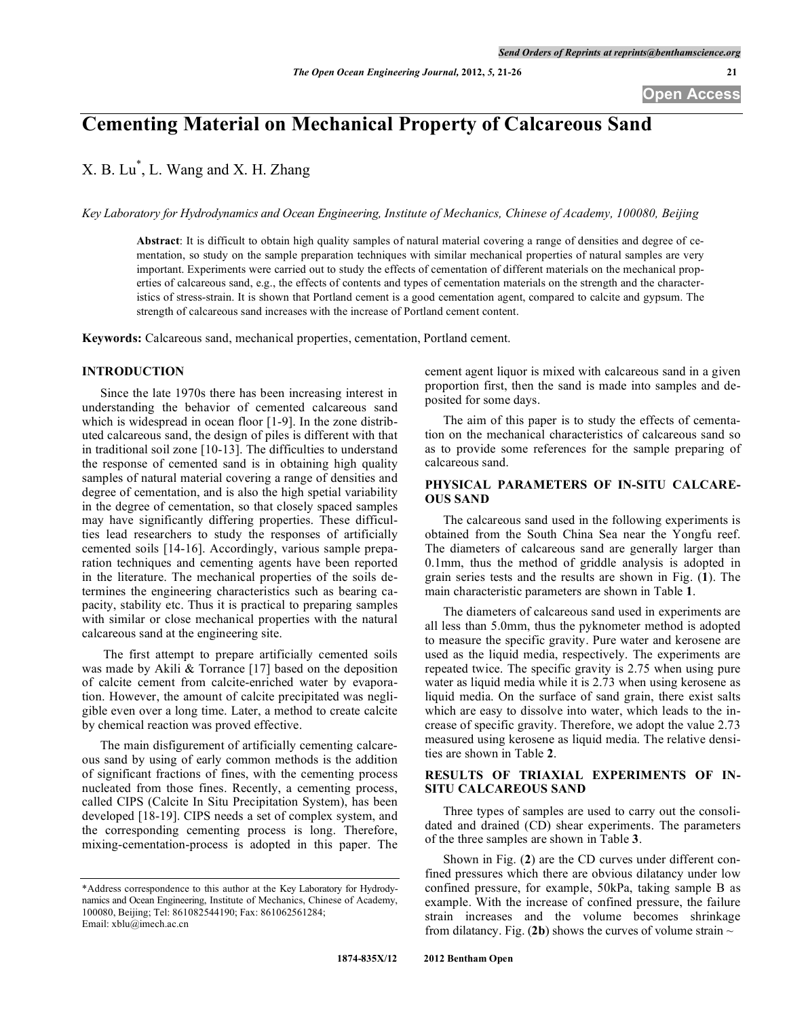# **Cementing Material on Mechanical Property of Calcareous Sand**

X. B. Lu\* , L. Wang and X. H. Zhang

*Key Laboratory for Hydrodynamics and Ocean Engineering, Institute of Mechanics, Chinese of Academy, 100080, Beijing*

**Abstract**: It is difficult to obtain high quality samples of natural material covering a range of densities and degree of cementation, so study on the sample preparation techniques with similar mechanical properties of natural samples are very important. Experiments were carried out to study the effects of cementation of different materials on the mechanical properties of calcareous sand, e.g., the effects of contents and types of cementation materials on the strength and the characteristics of stress-strain. It is shown that Portland cement is a good cementation agent, compared to calcite and gypsum. The strength of calcareous sand increases with the increase of Portland cement content.

**Keywords:** Calcareous sand, mechanical properties, cementation, Portland cement.

## **INTRODUCTION**

Since the late 1970s there has been increasing interest in understanding the behavior of cemented calcareous sand which is widespread in ocean floor [1-9]. In the zone distributed calcareous sand, the design of piles is different with that in traditional soil zone [10-13]. The difficulties to understand the response of cemented sand is in obtaining high quality samples of natural material covering a range of densities and degree of cementation, and is also the high spetial variability in the degree of cementation, so that closely spaced samples may have significantly differing properties. These difficulties lead researchers to study the responses of artificially cemented soils [14-16]. Accordingly, various sample preparation techniques and cementing agents have been reported in the literature. The mechanical properties of the soils determines the engineering characteristics such as bearing capacity, stability etc. Thus it is practical to preparing samples with similar or close mechanical properties with the natural calcareous sand at the engineering site.

The first attempt to prepare artificially cemented soils was made by Akili & Torrance [17] based on the deposition of calcite cement from calcite-enriched water by evaporation. However, the amount of calcite precipitated was negligible even over a long time. Later, a method to create calcite by chemical reaction was proved effective.

The main disfigurement of artificially cementing calcareous sand by using of early common methods is the addition of significant fractions of fines, with the cementing process nucleated from those fines. Recently, a cementing process, called CIPS (Calcite In Situ Precipitation System), has been developed [18-19]. CIPS needs a set of complex system, and the corresponding cementing process is long. Therefore, mixing-cementation-process is adopted in this paper. The cement agent liquor is mixed with calcareous sand in a given proportion first, then the sand is made into samples and deposited for some days.

The aim of this paper is to study the effects of cementation on the mechanical characteristics of calcareous sand so as to provide some references for the sample preparing of calcareous sand.

## **PHYSICAL PARAMETERS OF IN-SITU CALCARE-OUS SAND**

The calcareous sand used in the following experiments is obtained from the South China Sea near the Yongfu reef. The diameters of calcareous sand are generally larger than 0.1mm, thus the method of griddle analysis is adopted in grain series tests and the results are shown in Fig. (**1**). The main characteristic parameters are shown in Table **1**.

The diameters of calcareous sand used in experiments are all less than 5.0mm, thus the pyknometer method is adopted to measure the specific gravity. Pure water and kerosene are used as the liquid media, respectively. The experiments are repeated twice. The specific gravity is 2.75 when using pure water as liquid media while it is 2.73 when using kerosene as liquid media. On the surface of sand grain, there exist salts which are easy to dissolve into water, which leads to the increase of specific gravity. Therefore, we adopt the value 2.73 measured using kerosene as liquid media. The relative densities are shown in Table **2**.

## **RESULTS OF TRIAXIAL EXPERIMENTS OF IN-SITU CALCAREOUS SAND**

Three types of samples are used to carry out the consolidated and drained (CD) shear experiments. The parameters of the three samples are shown in Table **3**.

Shown in Fig. (**2**) are the CD curves under different confined pressures which there are obvious dilatancy under low confined pressure, for example, 50kPa, taking sample B as example. With the increase of confined pressure, the failure strain increases and the volume becomes shrinkage from dilatancy. Fig. (2b) shows the curves of volume strain  $\sim$ 

<sup>\*</sup>Address correspondence to this author at the Key Laboratory for Hydrodynamics and Ocean Engineering, Institute of Mechanics, Chinese of Academy, 100080, Beijing; Tel: 861082544190; Fax: 861062561284; Email: xblu@imech.ac.cn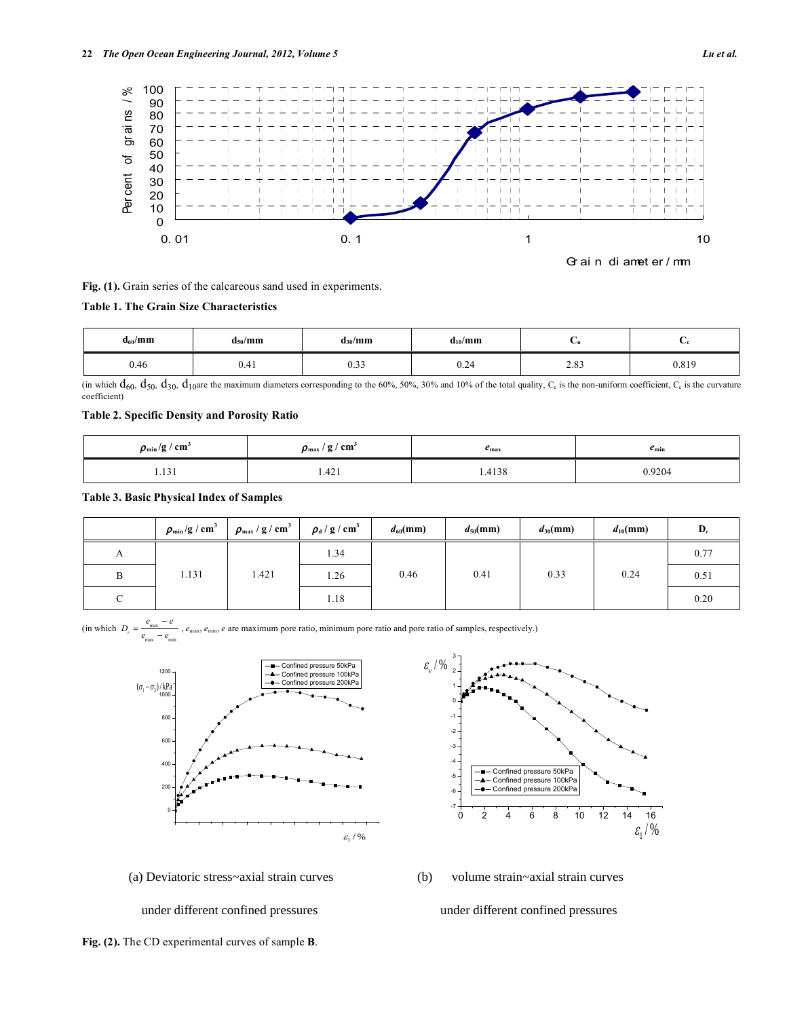

Gr ai n di amet er / mm

**Fig. (1).** Grain series of the calcareous sand used in experiments.

#### **Table 1. The Grain Size Characteristics**

| $d_{60}$ /mm | $d_{50}/mm$ | $d_{30}/mm$ | $d_{10}/mm$ |                  |       |
|--------------|-------------|-------------|-------------|------------------|-------|
| 0.46         | 0.4 I       | v. J J      | V.∠4        | $\Omega$<br>2.03 | 0.819 |

(in which  $d_{60}$ ,  $d_{50}$ ,  $d_{30}$ ,  $d_{10}$ are the maximum diameters corresponding to the 60%, 50%, 30% and 10% of the total quality,  $C_c$  is the non-uniform coefficient,  $C_c$  is the curvature coefficient)

## **Table 2. Specific Density and Porosity Ratio**

| $\rho_{\rm min}/g$ / cm <sup>2</sup> | $\rho_{\text{max}}$ / g / cm <sup>3</sup> | $e_{\rm max}$ | $e_{\min}$ |
|--------------------------------------|-------------------------------------------|---------------|------------|
| $\cdots$<br>1.171                    | 1.421                                     | 1.4138        | 0.9204     |

### **Table 3. Basic Physical Index of Samples**

|   | $\rho_{\rm min}/{\rm g\,/\,cm^3}$ | $\rho_{\text{max}}$ / g / cm <sup>3</sup> | $\rho_{\rm d}$ / g / cm <sup>3</sup> | $d_{60}$ (mm) | $d_{50}$ (mm) | $d_{30}$ (mm) | $d_{10}$ (mm) | D,   |
|---|-----------------------------------|-------------------------------------------|--------------------------------------|---------------|---------------|---------------|---------------|------|
| А |                                   |                                           | 1.34                                 |               |               |               |               | 0.77 |
| B | 1.131                             | 1.421                                     | 1.26                                 | 0.46          | 0.41          | 0.33          | 0.24          | 0.51 |
|   |                                   |                                           | 1.18                                 |               |               |               |               | 0.20 |

1 2 3

 $\varepsilon$ <sub>v</sub> / %

 $\text{(in which } D_r = \frac{e_{\text{max}} - e}{2}$  $\frac{v_{\text{max}}}{e_{\text{max}} - e_{\text{min}}}$ ,  $e_{\text{max}}$ ,  $e_{\text{min}}$ ,  $e$  are maximum pore ratio, minimum pore ratio and pore ratio of samples, respectively.)





-1 -2 -3 -4 Confined pressure 50kPa œ  $-5 -$  Confined pressure 100kPa Confined pressure 200kPa -6 -7 0 2 4 6 8 10 12 14 16  $\varepsilon_1^2 / 8$ 

under different confined pressures under different confined pressures

**Fig. (2).** The CD experimental curves of sample **B**.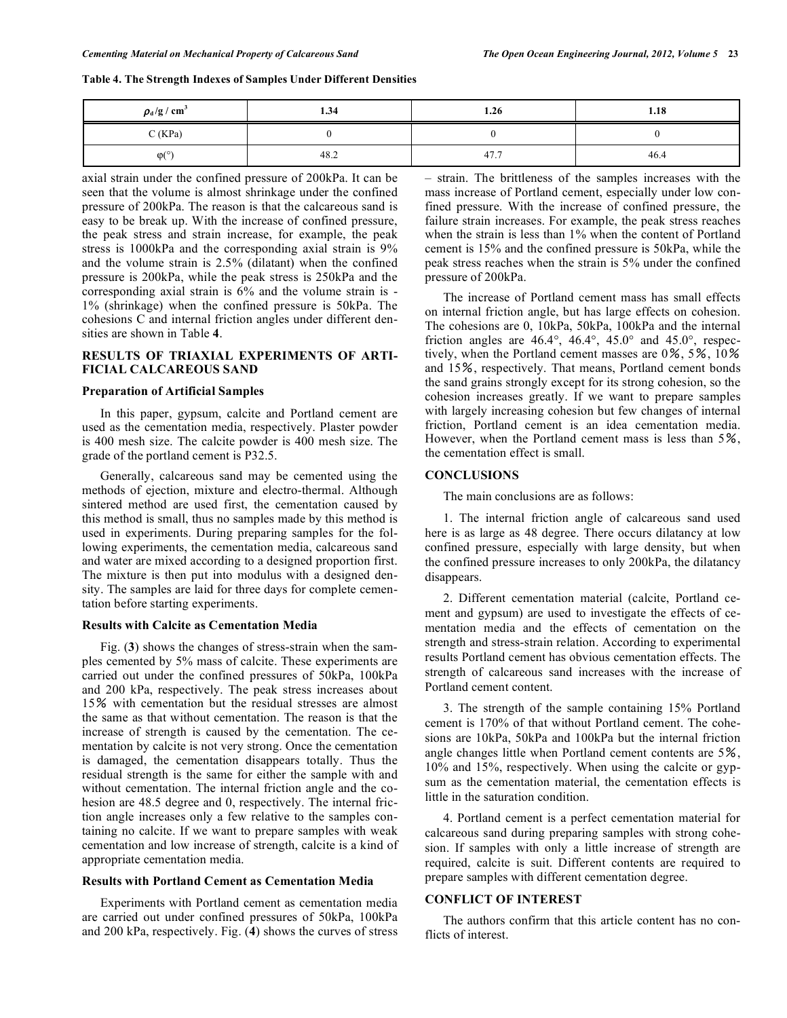| Table 4. The Strength Indexes of Samples Under Different Densities |  |  |
|--------------------------------------------------------------------|--|--|
|--------------------------------------------------------------------|--|--|

| $\rho_{\rm d}/\rm g$ / $\rm cm^3$ | 1.34 | 1.26 | 1.18 |
|-----------------------------------|------|------|------|
| C(KPa)                            |      |      |      |
| $\omega$ <sup>o</sup>             | 48.2 | 47.  | 46.4 |

axial strain under the confined pressure of 200kPa. It can be seen that the volume is almost shrinkage under the confined pressure of 200kPa. The reason is that the calcareous sand is easy to be break up. With the increase of confined pressure, the peak stress and strain increase, for example, the peak stress is 1000kPa and the corresponding axial strain is 9% and the volume strain is 2.5% (dilatant) when the confined pressure is 200kPa, while the peak stress is 250kPa and the corresponding axial strain is 6% and the volume strain is - 1% (shrinkage) when the confined pressure is 50kPa. The cohesions C and internal friction angles under different densities are shown in Table **4**.

## **RESULTS OF TRIAXIAL EXPERIMENTS OF ARTI-FICIAL CALCAREOUS SAND**

#### **Preparation of Artificial Samples**

In this paper, gypsum, calcite and Portland cement are used as the cementation media, respectively. Plaster powder is 400 mesh size. The calcite powder is 400 mesh size. The grade of the portland cement is P32.5.

Generally, calcareous sand may be cemented using the methods of ejection, mixture and electro-thermal. Although sintered method are used first, the cementation caused by this method is small, thus no samples made by this method is used in experiments. During preparing samples for the following experiments, the cementation media, calcareous sand and water are mixed according to a designed proportion first. The mixture is then put into modulus with a designed density. The samples are laid for three days for complete cementation before starting experiments.

#### **Results with Calcite as Cementation Media**

Fig. (**3**) shows the changes of stress-strain when the samples cemented by 5% mass of calcite. These experiments are carried out under the confined pressures of 50kPa, 100kPa and 200 kPa, respectively. The peak stress increases about 15% with cementation but the residual stresses are almost the same as that without cementation. The reason is that the increase of strength is caused by the cementation. The cementation by calcite is not very strong. Once the cementation is damaged, the cementation disappears totally. Thus the residual strength is the same for either the sample with and without cementation. The internal friction angle and the cohesion are 48.5 degree and 0, respectively. The internal friction angle increases only a few relative to the samples containing no calcite. If we want to prepare samples with weak cementation and low increase of strength, calcite is a kind of appropriate cementation media.

#### **Results with Portland Cement as Cementation Media**

Experiments with Portland cement as cementation media are carried out under confined pressures of 50kPa, 100kPa and 200 kPa, respectively. Fig. (**4**) shows the curves of stress – strain. The brittleness of the samples increases with the mass increase of Portland cement, especially under low confined pressure. With the increase of confined pressure, the failure strain increases. For example, the peak stress reaches when the strain is less than 1% when the content of Portland cement is 15% and the confined pressure is 50kPa, while the peak stress reaches when the strain is 5% under the confined pressure of 200kPa.

The increase of Portland cement mass has small effects on internal friction angle, but has large effects on cohesion. The cohesions are 0, 10kPa, 50kPa, 100kPa and the internal friction angles are  $46.4^\circ$ ,  $46.4^\circ$ ,  $45.0^\circ$  and  $45.0^\circ$ , respectively, when the Portland cement masses are 0%, 5%, 10% and 15%, respectively. That means, Portland cement bonds the sand grains strongly except for its strong cohesion, so the cohesion increases greatly. If we want to prepare samples with largely increasing cohesion but few changes of internal friction, Portland cement is an idea cementation media. However, when the Portland cement mass is less than 5%, the cementation effect is small.

#### **CONCLUSIONS**

The main conclusions are as follows:

1. The internal friction angle of calcareous sand used here is as large as 48 degree. There occurs dilatancy at low confined pressure, especially with large density, but when the confined pressure increases to only 200kPa, the dilatancy disappears.

2. Different cementation material (calcite, Portland cement and gypsum) are used to investigate the effects of cementation media and the effects of cementation on the strength and stress-strain relation. According to experimental results Portland cement has obvious cementation effects. The strength of calcareous sand increases with the increase of Portland cement content.

3. The strength of the sample containing 15% Portland cement is 170% of that without Portland cement. The cohesions are 10kPa, 50kPa and 100kPa but the internal friction angle changes little when Portland cement contents are 5%, 10% and 15%, respectively. When using the calcite or gypsum as the cementation material, the cementation effects is little in the saturation condition.

4. Portland cement is a perfect cementation material for calcareous sand during preparing samples with strong cohesion. If samples with only a little increase of strength are required, calcite is suit. Different contents are required to prepare samples with different cementation degree.

#### **CONFLICT OF INTEREST**

The authors confirm that this article content has no conflicts of interest.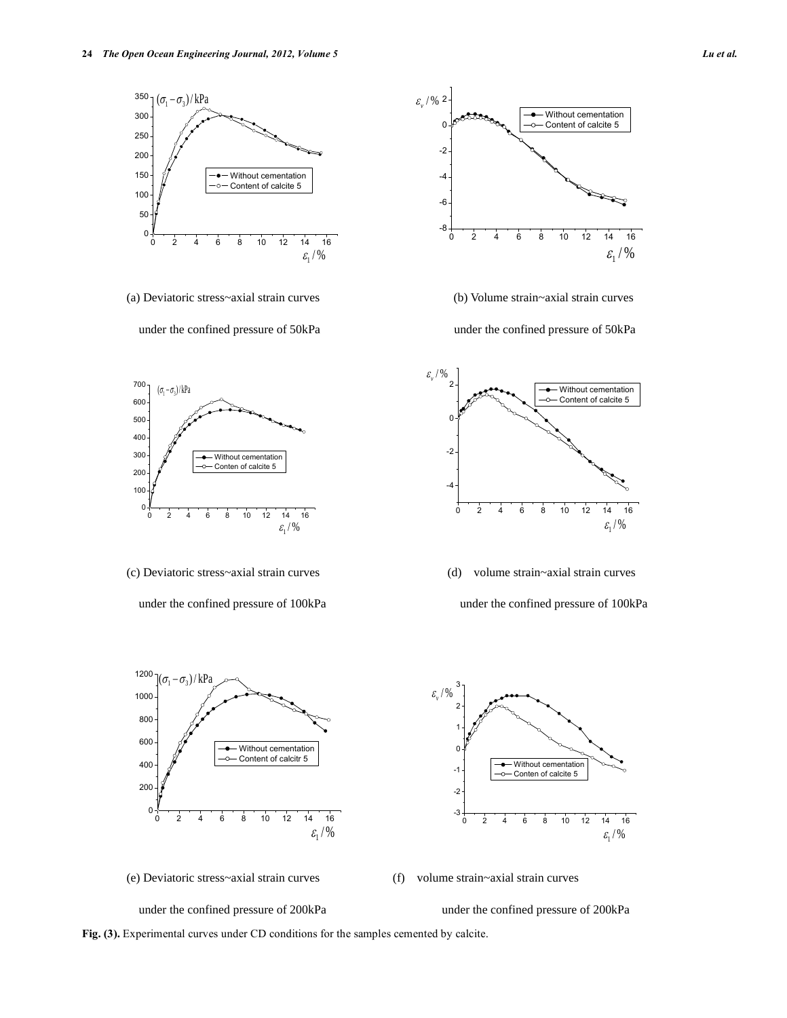

(a) Deviatoric stress~axial strain curves (b) Volume strain~axial strain curves

under the confined pressure of 50kPa under the confined pressure of 50kPa



- (c) Deviatoric stress~axial strain curves (d) volume strain~axial strain curves
	- under the confined pressure of  $100kPa$  under the confined pressure of  $100kPa$







(e) Deviatoric stress~axial strain curves (f) volume strain~axial strain curves

under the confined pressure of 200kPa under the confined pressure of 200kPa



**Fig. (3).** Experimental curves under CD conditions for the samples cemented by calcite.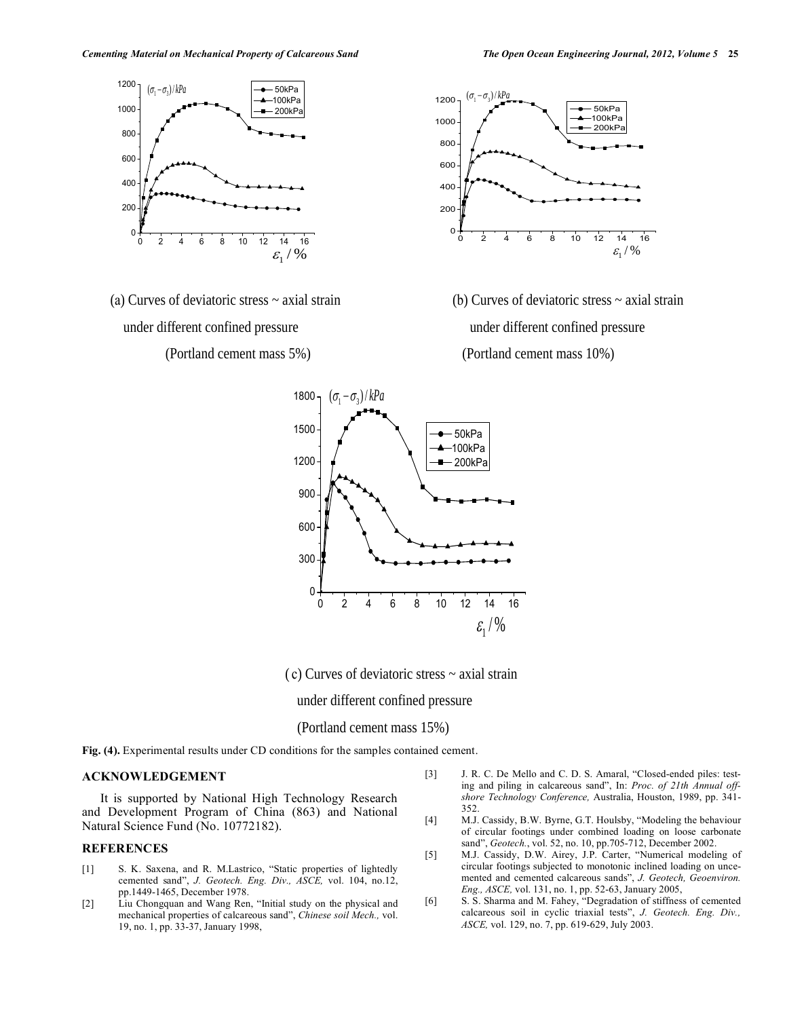

under different confined pressure under different confined pressure



 (a) Curves of deviatoric stress ~ axial strain (b) Curves of deviatoric stress ~ axial strain (Portland cement mass 5%) (Portland cement mass 10%)



( c) Curves of deviatoric stress ~ axial strain

under different confined pressure

## (Portland cement mass 15%)

**Fig. (4).** Experimental results under CD conditions for the samples contained cement.

## **ACKNOWLEDGEMENT**

It is supported by National High Technology Research and Development Program of China (863) and National Natural Science Fund (No. 10772182).

# **REFERENCES**

- [1] S. K. Saxena, and R. M.Lastrico, "Static properties of lightedly cemented sand", *J. Geotech. Eng. Div., ASCE,* vol. 104, no.12, pp.1449-1465, December 1978.
- [2] Liu Chongquan and Wang Ren, "Initial study on the physical and mechanical properties of calcareous sand", *Chinese soil Mech.,* vol. 19, no. 1, pp. 33-37, January 1998,
- [3] J. R. C. De Mello and C. D. S. Amaral, "Closed-ended piles: testing and piling in calcareous sand", In: *Proc. of 21th Annual offshore Technology Conference,* Australia, Houston, 1989, pp. 341- 352.
- [4] M.J. Cassidy, B.W. Byrne, G.T. Houlsby, "Modeling the behaviour of circular footings under combined loading on loose carbonate sand", *Geotech.*, vol. 52, no. 10, pp.705-712, December 2002.
- [5] M.J. Cassidy, D.W. Airey, J.P. Carter, "Numerical modeling of circular footings subjected to monotonic inclined loading on uncemented and cemented calcareous sands", *J. Geotech, Geoenviron. Eng., ASCE,* vol. 131, no. 1, pp. 52-63, January 2005,
- [6] S. S. Sharma and M. Fahey, "Degradation of stiffness of cemented calcareous soil in cyclic triaxial tests", *J. Geotech. Eng. Div., ASCE,* vol. 129, no. 7, pp. 619-629, July 2003.